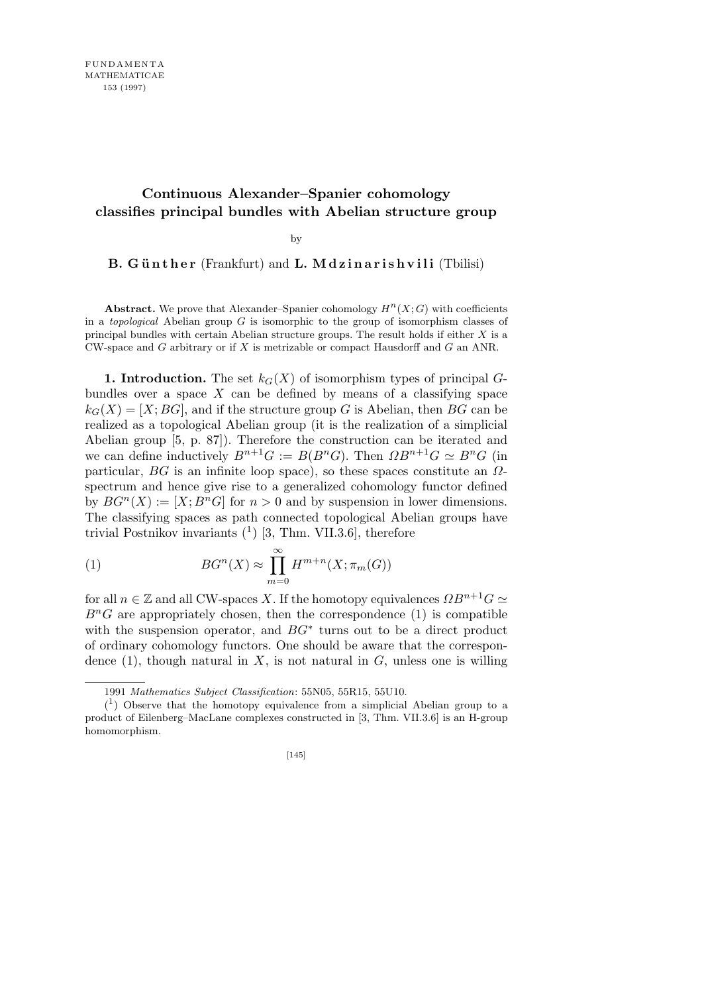## **Continuous Alexander–Spanier cohomology classifies principal bundles with Abelian structure group**

by

**B. Günther** (Frankfurt) and **L. Mdzinarishvili** (Tbilisi)

**Abstract.** We prove that Alexander–Spanier cohomology  $H^n(X; G)$  with coefficients in a *topological* Abelian group *G* is isomorphic to the group of isomorphism classes of principal bundles with certain Abelian structure groups. The result holds if either *X* is a CW-space and *G* arbitrary or if *X* is metrizable or compact Hausdorff and *G* an ANR.

**1. Introduction.** The set  $k_G(X)$  of isomorphism types of principal  $G$ bundles over a space  $X$  can be defined by means of a classifying space  $k_G(X) = [X; BG]$ , and if the structure group *G* is Abelian, then *BG* can be realized as a topological Abelian group (it is the realization of a simplicial Abelian group [5, p. 87]). Therefore the construction can be iterated and we can define inductively  $B^{n+1}G := B(B^nG)$ . Then  $\Omega B^{n+1}G \simeq B^nG$  (in particular, *BG* is an infinite loop space), so these spaces constitute an *Ω*spectrum and hence give rise to a generalized cohomology functor defined by  $BG^{n}(X) := [X; B^{n}G]$  for  $n > 0$  and by suspension in lower dimensions. The classifying spaces as path connected topological Abelian groups have trivial Postnikov invariants  $(1)$  [3, Thm. VII.3.6], therefore

(1) 
$$
BG^{n}(X) \approx \prod_{m=0}^{\infty} H^{m+n}(X; \pi_{m}(G))
$$

for all  $n \in \mathbb{Z}$  and all CW-spaces *X*. If the homotopy equivalences  $\Omega B^{n+1}G \simeq$  $B<sup>n</sup>G$  are appropriately chosen, then the correspondence (1) is compatible with the suspension operator, and *BG<sup>∗</sup>* turns out to be a direct product of ordinary cohomology functors. One should be aware that the correspondence  $(1)$ , though natural in *X*, is not natural in *G*, unless one is willing

<sup>1991</sup> *Mathematics Subject Classification*: 55N05, 55R15, 55U10.

 $(1)$  Observe that the homotopy equivalence from a simplicial Abelian group to a product of Eilenberg–MacLane complexes constructed in [3, Thm. VII.3.6] is an H-group homomorphism.

<sup>[145]</sup>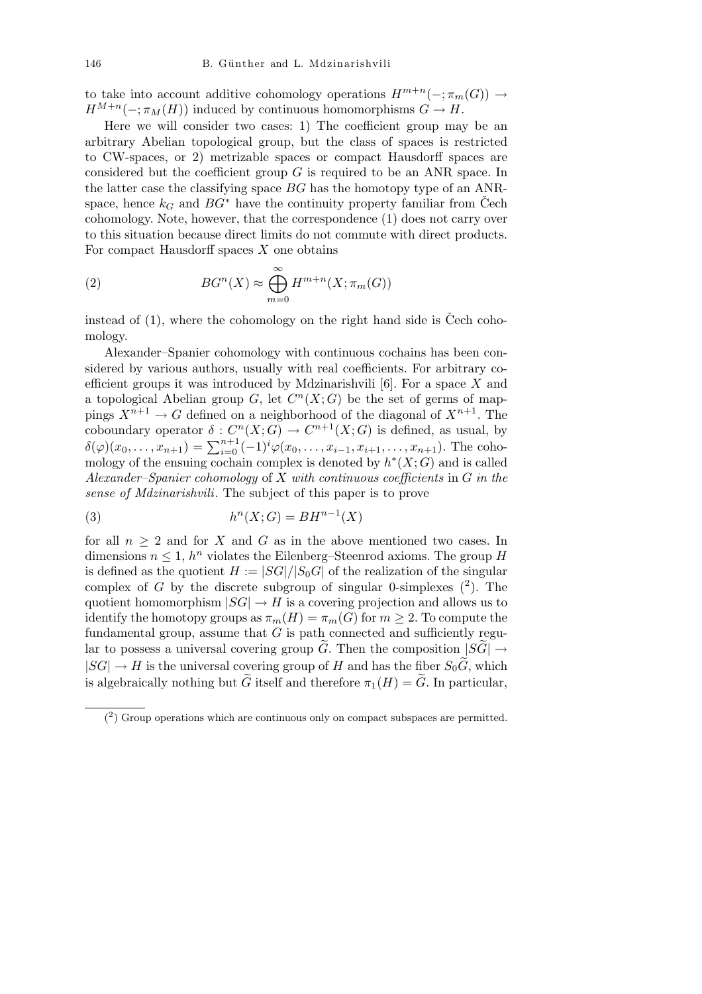to take into account additive cohomology operations  $H^{m+n}(-;\pi_m(G)) \to$  $H^{M+n}(-;\pi_M(H))$  induced by continuous homomorphisms  $G \to H$ .

Here we will consider two cases: 1) The coefficient group may be an arbitrary Abelian topological group, but the class of spaces is restricted to CW-spaces, or 2) metrizable spaces or compact Hausdorff spaces are considered but the coefficient group *G* is required to be an ANR space. In the latter case the classifying space *BG* has the homotopy type of an ANRspace, hence  $k_G$  and  $BG^*$  have the continuity property familiar from Čech cohomology. Note, however, that the correspondence (1) does not carry over to this situation because direct limits do not commute with direct products. For compact Hausdorff spaces *X* one obtains

(2) 
$$
BG^{n}(X) \approx \bigoplus_{m=0}^{\infty} H^{m+n}(X; \pi_{m}(G))
$$

instead of  $(1)$ , where the cohomology on the right hand side is Čech cohomology.

Alexander–Spanier cohomology with continuous cochains has been considered by various authors, usually with real coefficients. For arbitrary coefficient groups it was introduced by Mdzinarishvili [6]. For a space *X* and a topological Abelian group  $G$ , let  $C<sup>n</sup>(X;G)$  be the set of germs of mappings  $X^{n+1} \to G$  defined on a neighborhood of the diagonal of  $X^{n+1}$ . The coboundary operator  $\delta: C^n(X; G) \to C^{n+1}(X; G)$  is defined, as usual, by  $\delta(\varphi)(x_0, \ldots, x_{n+1}) = \sum_{i=0}^{n+1} (-1)^i \varphi(x_0, \ldots, x_{i-1}, x_{i+1}, \ldots, x_{n+1})$ . The cohomology of the ensuing cochain complex is denoted by  $h^*(X;G)$  and is called *Alexander–Spanier cohomology* of *X with continuous coefficients* in *G in the sense of Mdzinarishvili*. The subject of this paper is to prove

$$
(3) \qquad \qquad h^n(X;G) = BH^{n-1}(X)
$$

for all  $n \geq 2$  and for *X* and *G* as in the above mentioned two cases. In dimensions  $n \leq 1$ ,  $h^n$  violates the Eilenberg–Steenrod axioms. The group *H* is defined as the quotient  $H := |SG|/|S_0G|$  of the realization of the singular complex of *G* by the discrete subgroup of singular 0-simplexes  $(2)$ . The quotient homomorphism  $|SG| \rightarrow H$  is a covering projection and allows us to identify the homotopy groups as  $\pi_m(H) = \pi_m(G)$  for  $m \geq 2$ . To compute the fundamental group, assume that  $G$  is path connected and sufficiently regular to possess a universal covering group *G*. Then the composition  $|SG| \rightarrow$  $|SG| \rightarrow H$  is the universal covering group of *H* and has the fiber  $S_0 \widetilde{G}$ , which is algebraically nothing but  $\tilde{G}$  itself and therefore  $\pi_1(H) = \tilde{G}$ . In particular,

 $(2)$  Group operations which are continuous only on compact subspaces are permitted.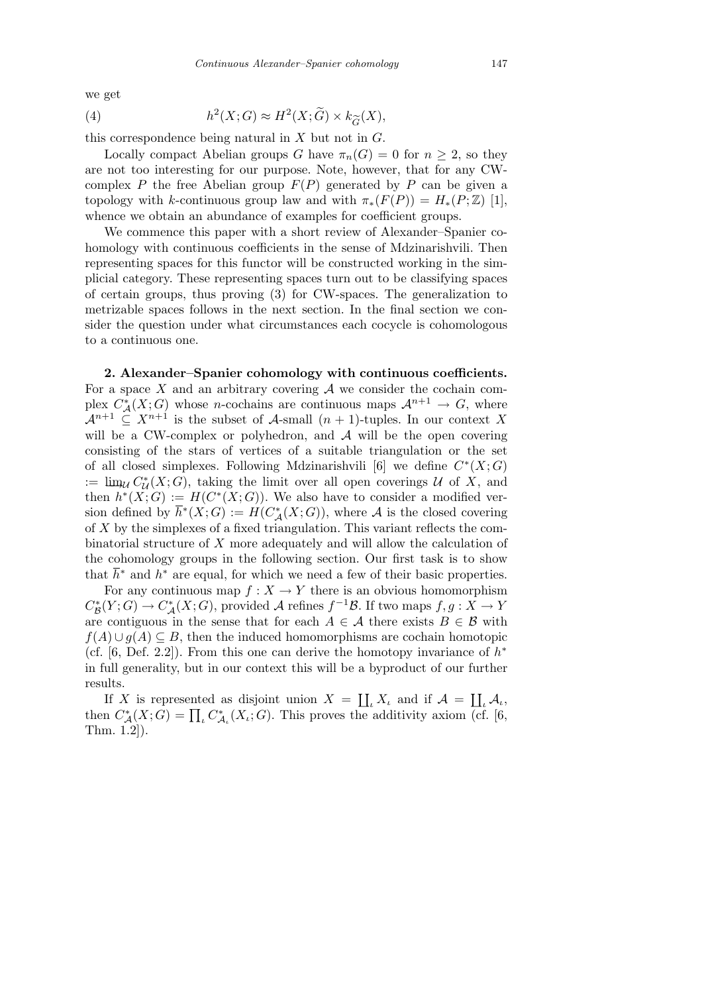we get

(4) 
$$
h^2(X;G) \approx H^2(X;\widetilde{G}) \times k_{\widetilde{G}}(X),
$$

this correspondence being natural in *X* but not in *G*.

Locally compact Abelian groups *G* have  $\pi_n(G) = 0$  for  $n \geq 2$ , so they are not too interesting for our purpose. Note, however, that for any CWcomplex *P* the free Abelian group  $F(P)$  generated by *P* can be given a topology with *k*-continuous group law and with  $\pi_*(F(P)) = H_*(P;\mathbb{Z})$  [1], whence we obtain an abundance of examples for coefficient groups.

We commence this paper with a short review of Alexander–Spanier cohomology with continuous coefficients in the sense of Mdzinarishvili. Then representing spaces for this functor will be constructed working in the simplicial category. These representing spaces turn out to be classifying spaces of certain groups, thus proving (3) for CW-spaces. The generalization to metrizable spaces follows in the next section. In the final section we consider the question under what circumstances each cocycle is cohomologous to a continuous one.

**2. Alexander–Spanier cohomology with continuous coefficients.** For a space  $X$  and an arbitrary covering  $A$  we consider the cochain complex  $C^*_{\mathcal{A}}(X;G)$  whose *n*-cochains are continuous maps  $\mathcal{A}^{n+1} \to G$ , where  $\mathcal{A}^{n+1} \subseteq X^{n+1}$  is the subset of  $\mathcal{A}$ -small  $(n+1)$ -tuples. In our context X will be a CW-complex or polyhedron, and A will be the open covering consisting of the stars of vertices of a suitable triangulation or the set of all closed simplexes. Following Mdzinarishvili [6] we define  $C^*(X;G)$  $\lim_{\mathcal{U}} C^*_{\mathcal{U}}(X;G)$ , taking the limit over all open coverings *U* of *X*, and then  $h^*(X;G) := H(C^*(X;G))$ . We also have to consider a modified version defined by  $\overline{h}^*(X;G) := H(C^*_\mathcal{A}(X;G))$ , where  $\mathcal A$  is the closed covering of *X* by the simplexes of a fixed triangulation. This variant reflects the combinatorial structure of *X* more adequately and will allow the calculation of the cohomology groups in the following section. Our first task is to show that  $\bar{h}^*$  and  $h^*$  are equal, for which we need a few of their basic properties.

For any continuous map  $f: X \to Y$  there is an obvious homomorphism  $C^*_{\mathcal{B}}(Y; G) \to C^*_{\mathcal{A}}(X; G)$ , provided *A* refines  $f^{-1}\mathcal{B}$ . If two maps  $f, g: X \to Y$ are contiguous in the sense that for each  $A \in \mathcal{A}$  there exists  $B \in \mathcal{B}$  with *f*(*A*)  $∪$  *g*(*A*)  $≤$  *B*, then the induced homomorphisms are cochain homotopic (cf. [6, Def. 2.2]). From this one can derive the homotopy invariance of  $h^*$ in full generality, but in our context this will be a byproduct of our further results.  $\overline{\mathbf{r}}$  $\overline{\mathbf{r}}$ 

If *X* is represented as disjoint union  $X =$ *ι*  $X$ *ι* and if  $A =$ *<sup>ι</sup> A<sup>ι</sup>* ,  $\Gamma$  *A* is represented as disjoint union  $A = \prod_{\iota} A_{\iota}$  and  $\Gamma A = \prod_{\iota} A_{\iota}$ ,<br>then  $C^*_{\mathcal{A}}(X;G) = \prod_{\iota} C^*_{\mathcal{A}_{\iota}}(X_{\iota};G)$ . This proves the additivity axiom (cf. [6, Thm. 1.2]).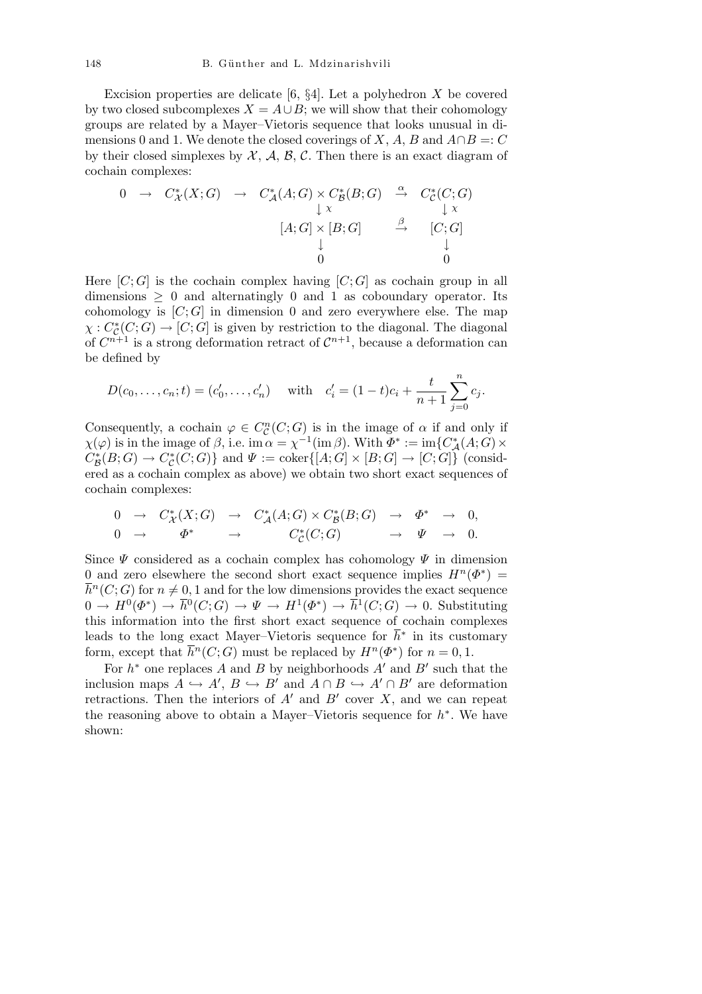Excision properties are delicate [6, *§*4]. Let a polyhedron *X* be covered by two closed subcomplexes  $X = A \cup B$ ; we will show that their cohomology groups are related by a Mayer–Vietoris sequence that looks unusual in dimensions 0 and 1. We denote the closed coverings of *X*, *A*, *B* and  $A \cap B =: C$ by their closed simplexes by  $X$ ,  $A$ ,  $B$ ,  $C$ . Then there is an exact diagram of cochain complexes:

$$
0 \rightarrow C^*_{\mathcal{X}}(X;G) \rightarrow C^*_{\mathcal{A}}(A;G) \times C^*_{\mathcal{B}}(B;G) \xrightarrow{\alpha} C^*_{\mathcal{C}}(C;G) \downarrow x
$$
\n
$$
[A;G] \times [B;G] \xrightarrow{\beta} [C;G] \downarrow 0
$$

Here  $[C; G]$  is the cochain complex having  $[C; G]$  as cochain group in all dimensions *≥* 0 and alternatingly 0 and 1 as coboundary operator. Its cohomology is  $[C; G]$  in dimension 0 and zero everywhere else. The map  $\chi : C^*_{\mathcal{C}}(C;G) \to [C;G]$  is given by restriction to the diagonal. The diagonal of  $C^{n+1}$  is a strong deformation retract of  $C^{n+1}$ , because a deformation can be defined by

$$
D(c_0,..., c_n; t) = (c'_0,..., c'_n)
$$
 with  $c'_i = (1-t)c_i + \frac{t}{n+1} \sum_{j=0}^n c_j$ .

Consequently, a cochain  $\varphi \in C_{\mathcal{C}}^n(C;G)$  is in the image of  $\alpha$  if and only if  $\chi(\varphi)$  is in the image of  $\beta$ , i.e. im  $\alpha = \chi^{-1}(\operatorname{im} \beta)$ . With  $\varPhi^* := \operatorname{im} \{ C^*_{\mathcal{A}}(A;G) \times$  $C^*_{\mathcal{B}}(B;G) \to C^*_{\mathcal{C}}(C;G)$  and  $\Psi := \text{coker}([A;G] \times [B;G] \to [C;G])$  (considered as a cochain complex as above) we obtain two short exact sequences of cochain complexes:

$$
\begin{array}{ccccccccc} 0 & \to & C^*_{{\mathcal X}}(X;G) & \to & C^*_{{\mathcal A}}(A;G) \times C^*_{{\mathcal B}}(B;G) & \to & \varPhi^* & \to & 0, \\ 0 & \to & \varPhi^* & \to & C^*_{{\mathcal C}}(C;G) & \to & \varPsi & \to & 0. \end{array}
$$

Since *Ψ* considered as a cochain complex has cohomology *Ψ* in dimension 0 and zero elsewhere the second short exact sequence implies  $H^n(\Phi^*)$  =  $\overline{h}^n(C;G)$  for  $n \neq 0,1$  and for the low dimensions provides the exact sequence  $0 \to H^0(\Phi^*) \to \overline{h}^0(C;G) \to \Psi \to H^1(\Phi^*) \to \overline{h}^1(C;G) \to 0$ . Substituting this information into the first short exact sequence of cochain complexes leads to the long exact Mayer–Vietoris sequence for  $\bar{h}^*$  in its customary form, except that  $\overline{h}^n(C;G)$  must be replaced by  $H^n(\Phi^*)$  for  $n=0,1$ .

For  $h^*$  one replaces A and B by neighborhoods  $A'$  and  $B'$  such that the inclusion maps  $A \hookrightarrow A', B \hookrightarrow B'$  and  $A \cap B \hookrightarrow A' \cap B'$  are deformation retractions. Then the interiors of  $A<sup>1</sup>$  and  $B<sup>1</sup>$  cover  $X$ , and we can repeat the reasoning above to obtain a Mayer–Vietoris sequence for *h ∗* . We have shown: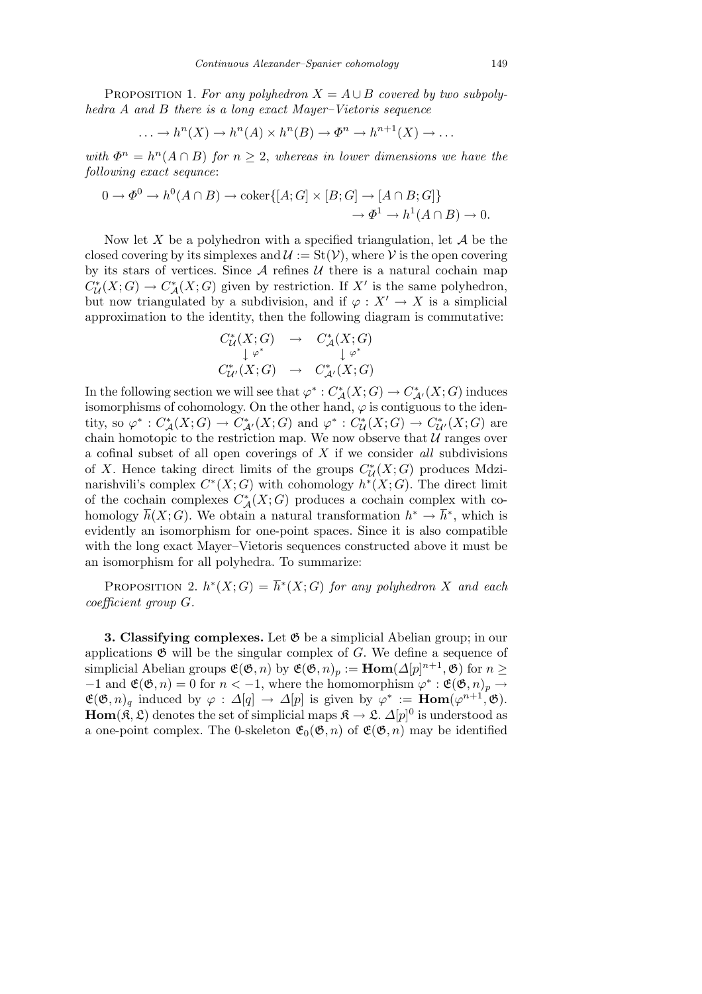PROPOSITION 1. For any polyhedron  $X = A \cup B$  covered by two subpoly*hedra A and B there is a long exact Mayer–Vietoris sequence*

$$
\ldots \to h^{n}(X) \to h^{n}(A) \times h^{n}(B) \to \Phi^{n} \to h^{n+1}(X) \to \ldots
$$

*with*  $\Phi^n = h^n(A \cap B)$  *for*  $n \geq 2$ *, whereas in lower dimensions we have the following exact sequnce*:

$$
0 \to \Phi^0 \to h^0(A \cap B) \to \text{coker}\{[A;G] \times [B;G] \to [A \cap B;G]\}
$$

$$
\to \Phi^1 \to h^1(A \cap B) \to 0.
$$

Now let *X* be a polyhedron with a specified triangulation, let *A* be the closed covering by its simplexes and  $\mathcal{U} := \text{St}(\mathcal{V})$ , where  $\mathcal{V}$  is the open covering by its stars of vertices. Since  $A$  refines  $U$  there is a natural cochain map  $C^*_{\mathcal{U}}(X;G) \to C^*_{\mathcal{A}}(X;G)$  given by restriction. If  $X'$  is the same polyhedron, but now triangulated by a subdivision, and if  $\varphi: X' \to X$  is a simplicial approximation to the identity, then the following diagram is commutative:

$$
C^*_{\mathcal{U}}(X;G) \rightarrow C^*_{\mathcal{A}}(X;G)
$$
  
\n
$$
\downarrow \varphi^* \qquad \qquad \downarrow \varphi^*
$$
  
\n
$$
C^*_{\mathcal{U}'}(X;G) \rightarrow C^*_{\mathcal{A}'}(X;G)
$$

In the following section we will see that  $\varphi^* : C^*_{\mathcal{A}}(X;G) \to C^*_{\mathcal{A}'}(X;G)$  induces isomorphisms of cohomology. On the other hand,  $\varphi$  is contiguous to the identity, so  $\varphi^*: C^*_{{\cal A}}(X;G) \to C^*_{{\cal A}'}(X;G)$  and  $\varphi^*: C^*_{{\cal U}}(X;G) \to C^*_{{\cal U}'}(X;G)$  are chain homotopic to the restriction map. We now observe that  $U$  ranges over a cofinal subset of all open coverings of *X* if we consider *all* subdivisions of *X*. Hence taking direct limits of the groups  $C^*_{\mathcal{U}}(X;G)$  produces Mdzinarishvili's complex  $C^*(X;G)$  with cohomology  $h^*(X;G)$ . The direct limit of the cochain complexes  $C^*_{\mathcal{A}}(X;G)$  produces a cochain complex with cohomology  $\overline{h}(X;G)$ . We obtain a natural transformation  $h^* \to \overline{h}^*$ , which is evidently an isomorphism for one-point spaces. Since it is also compatible with the long exact Mayer–Vietoris sequences constructed above it must be an isomorphism for all polyhedra. To summarize:

PROPOSITION 2.  $h^*(X;G) = \overline{h}^*(X;G)$  for any polyhedron X and each *coefficient group G.*

**3. Classifying complexes.** Let  $\mathfrak{G}$  be a simplicial Abelian group; in our applications  $\mathfrak{G}$  will be the singular complex of *G*. We define a sequence of simplicial Abelian groups  $\mathfrak{E}(\mathfrak{G}, n)$  by  $\mathfrak{E}(\mathfrak{G}, n)_p := \text{Hom}(\Delta[p]^{n+1}, \mathfrak{G})$  for  $n \geq$  $-1$  and  $\mathfrak{E}(\mathfrak{G}, n) = 0$  for  $n < -1$ , where the homomorphism  $\varphi^* : \mathfrak{E}(\mathfrak{G}, n)_p \to$  $\mathfrak{E}(\mathfrak{G}, n)$ <sub>q</sub> induced by  $\varphi : \Delta[q] \to \Delta[p]$  is given by  $\varphi^* := \text{Hom}(\varphi^{n+1}, \mathfrak{G}).$ **Hom**( $\mathfrak{K}, \mathfrak{L}$ ) denotes the set of simplicial maps  $\mathfrak{K} \to \mathfrak{L}$ .  $\Delta[p]$ <sup>0</sup> is understood as a one-point complex. The 0-skeleton  $\mathfrak{E}_0(\mathfrak{G}, n)$  of  $\mathfrak{E}(\mathfrak{G}, n)$  may be identified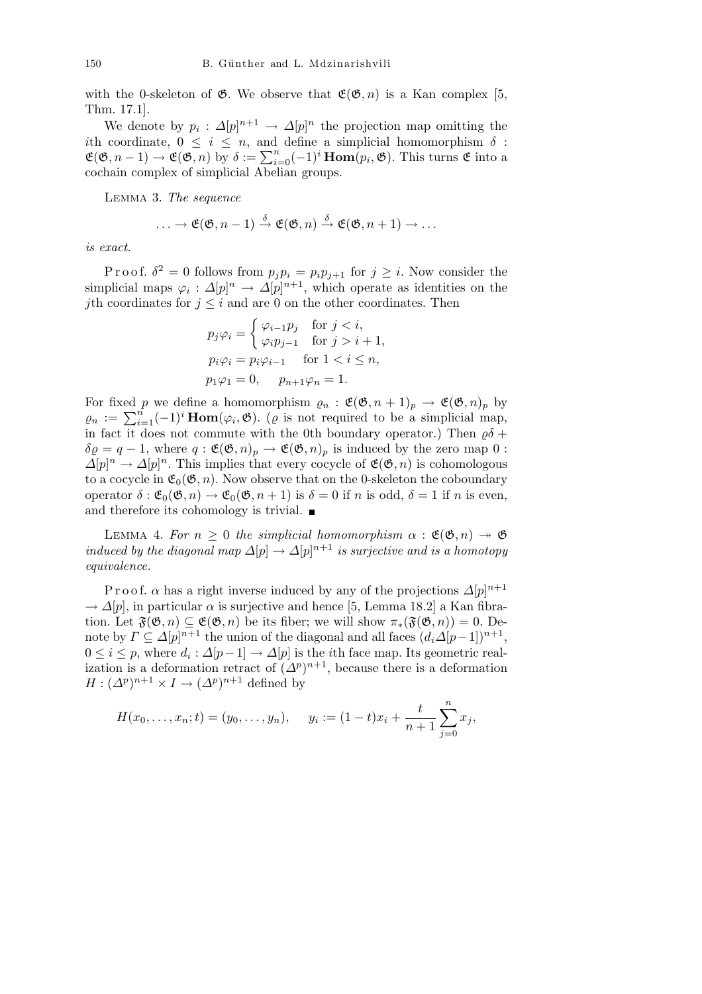with the 0-skeleton of  $\mathfrak{G}$ . We observe that  $\mathfrak{E}(\mathfrak{G}, n)$  is a Kan complex [5, Thm. 17.1].

We denote by  $p_i: \Delta[p]^{n+1} \to \Delta[p]^n$  the projection map omitting the *i*th coordinate,  $0 \leq i \leq n$ , and define a simplicial homomorphism  $\delta$ :  $\mathfrak{E}(\mathfrak{G}, n-1) \to \mathfrak{E}(\mathfrak{G}, n)$  by  $\delta := \sum_{i=0}^{n} (-1)^{i} \text{Hom}(p_{i}, \mathfrak{G})$ . This turns  $\mathfrak{E}$  into a cochain complex of simplicial Abelian groups.

Lemma 3. *The sequence*

$$
\ldots \to \mathfrak{E}(\mathfrak{G}, n-1) \stackrel{\delta}{\to} \mathfrak{E}(\mathfrak{G}, n) \stackrel{\delta}{\to} \mathfrak{E}(\mathfrak{G}, n+1) \to \ldots
$$

*is exact.*

Proof.  $\delta^2 = 0$  follows from  $p_j p_i = p_i p_{j+1}$  for  $j \geq i$ . Now consider the simplicial maps  $\varphi_i: \Delta[p]^n \to \Delta[p]^{n+1}$ , which operate as identities on the *j*th coordinates for  $j \leq i$  and are 0 on the other coordinates. Then

$$
p_j \varphi_i = \begin{cases} \varphi_{i-1} p_j & \text{for } j < i, \\ \varphi_i p_{j-1} & \text{for } j > i+1, \end{cases}
$$
\n
$$
p_i \varphi_i = p_i \varphi_{i-1} \quad \text{for } 1 < i \le n, \\ p_1 \varphi_1 = 0, \quad p_{n+1} \varphi_n = 1.
$$

For fixed *p* we define a homomorphism  $\varrho_n : \mathfrak{E}(\mathfrak{G}, n+1)_p \to \mathfrak{E}(\mathfrak{G}, n)_p$  by *g<sub>n</sub>* :  $\mathcal{L}(\mathcal{O}, n + 1)_p$  →  $\mathcal{L}(\mathcal{O}, n)_p$  by  $\varrho_n$  :  $\sum_{i=1}^n (-1)^i$  **Hom**( $\varphi_i$ , **empty**). ( $\varrho$  is not required to be a simplicial map, in fact it does not commute with the 0th boundary operator.) Then  $\varrho\delta$  +  $\delta \varrho = q - 1$ , where  $q : \mathfrak{E}(\mathfrak{G}, n)_p \to \mathfrak{E}(\mathfrak{G}, n)_p$  is induced by the zero map 0 :  $\Delta[p]^n \to \Delta[p]^n$ . This implies that every cocycle of  $\mathfrak{E}(\mathfrak{G}, n)$  is cohomologous to a cocycle in  $\mathfrak{E}_0(\mathfrak{G}, n)$ . Now observe that on the 0-skeleton the coboundary operator  $\delta : \mathfrak{E}_0(\mathfrak{G}, n) \to \mathfrak{E}_0(\mathfrak{G}, n+1)$  is  $\delta = 0$  if *n* is odd,  $\delta = 1$  if *n* is even, and therefore its cohomology is trivial.  $\blacksquare$ 

LEMMA 4. *For*  $n \geq 0$  *the simplicial homomorphism*  $\alpha : \mathfrak{E}(\mathfrak{G}, n) \rightarrow \mathfrak{G}$ *induced by the diagonal map*  $\Delta[p] \to \Delta[p]^{n+1}$  *is surjective and is a homotopy equivalence.*

P r o o f.  $\alpha$  has a right inverse induced by any of the projections  $\Delta[p]^{n+1}$  $\rightarrow \Delta[p]$ , in particular  $\alpha$  is surjective and hence [5, Lemma 18.2] a Kan fibration. Let  $\mathfrak{F}(\mathfrak{G}, n) \subseteq \mathfrak{E}(\mathfrak{G}, n)$  be its fiber; we will show  $\pi_*(\mathfrak{F}(\mathfrak{G}, n)) = 0$ . Denote by  $\Gamma \subseteq \Delta[p]^{n+1}$  the union of the diagonal and all faces  $(d_i \Delta[p-1])^{n+1}$ ,  $0 \leq i \leq p$ , where  $d_i: \Delta[p-1] \to \Delta[p]$  is the *i*th face map. Its geometric realization is a deformation retract of  $(\Delta^p)^{n+1}$ , because there is a deformation  $H: (\Delta^p)^{n+1} \times I \to (\Delta^p)^{n+1}$  defined by

$$
H(x_0, \ldots, x_n; t) = (y_0, \ldots, y_n), \quad y_i := (1-t)x_i + \frac{t}{n+1} \sum_{j=0}^n x_j,
$$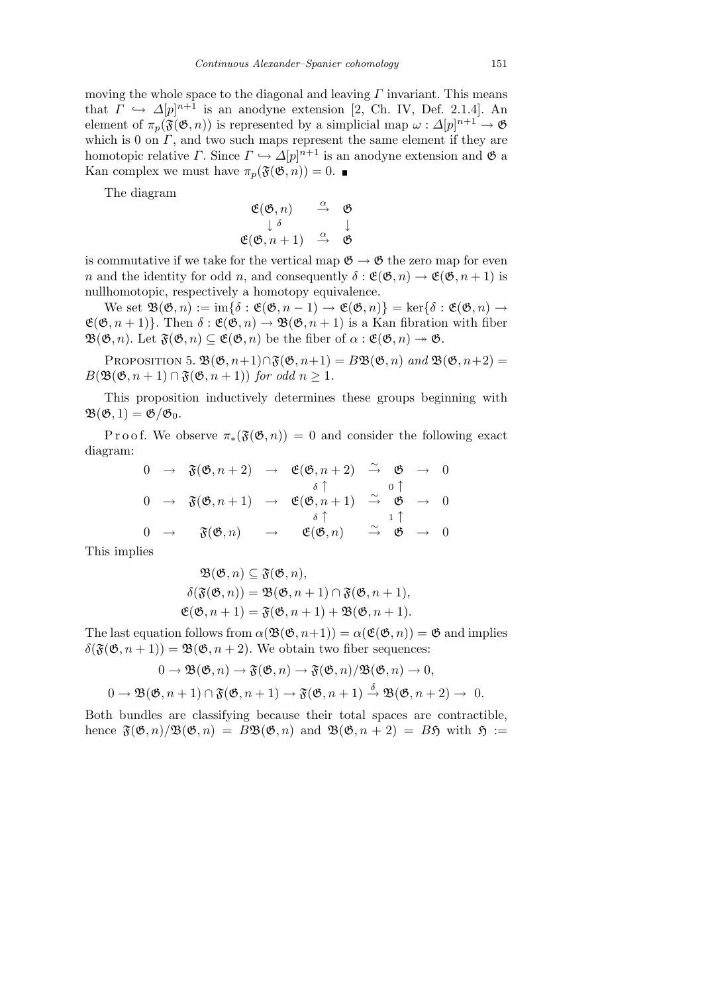moving the whole space to the diagonal and leaving *Γ* invariant. This means that  $\Gamma \hookrightarrow \Delta[p]^{n+1}$  is an anodyne extension [2, Ch. IV, Def. 2.1.4]. An element of  $\pi_p(\mathfrak{F}(\mathfrak{G}, n))$  is represented by a simplicial map  $\omega: \Delta[p]^{n+1} \to \mathfrak{G}$ which is 0 on *Γ*, and two such maps represent the same element if they are homotopic relative *Γ*. Since  $\Gamma \hookrightarrow \Delta[p]^{n+1}$  is an anodyne extension and  $\mathfrak{G}$  a Kan complex we must have  $\pi_p(\mathfrak{F}(\mathfrak{G}, n)) = 0$ .

The diagram

$$
\begin{array}{ccc}\n\mathfrak{E}(\mathfrak{G},n) & \stackrel{\alpha}{\to} & \mathfrak{G} \\
\downarrow \delta & & \downarrow \\
\mathfrak{E}(\mathfrak{G},n+1) & \stackrel{\alpha}{\to} & \mathfrak{G}\n\end{array}
$$

is commutative if we take for the vertical map  $\mathfrak{G} \to \mathfrak{G}$  the zero map for even *n* and the identity for odd *n*, and consequently  $\delta : \mathfrak{E}(\mathfrak{G}, n) \to \mathfrak{E}(\mathfrak{G}, n+1)$  is nullhomotopic, respectively a homotopy equivalence.

We set  $\mathfrak{B}(\mathfrak{G}, n) := \mathrm{im}\{\delta : \mathfrak{E}(\mathfrak{G}, n-1) \to \mathfrak{E}(\mathfrak{G}, n)\} = \mathrm{ker}\{\delta : \mathfrak{E}(\mathfrak{G}, n) \to$  $\mathfrak{E}(\mathfrak{G}, n+1)$ . Then  $\delta : \mathfrak{E}(\mathfrak{G}, n) \to \mathfrak{B}(\mathfrak{G}, n+1)$  is a Kan fibration with fiber  $\mathfrak{B}(\mathfrak{G},n)$ . Let  $\mathfrak{F}(\mathfrak{G},n) \subseteq \mathfrak{E}(\mathfrak{G},n)$  be the fiber of  $\alpha : \mathfrak{E}(\mathfrak{G},n) \to \mathfrak{G}$ .

PROPOSITION 5.  $\mathfrak{B}(\mathfrak{G}, n+1) \cap \mathfrak{F}(\mathfrak{G}, n+1) = B\mathfrak{B}(\mathfrak{G}, n)$  and  $\mathfrak{B}(\mathfrak{G}, n+2) =$  $B(\mathfrak{B}(\mathfrak{G}, n+1) \cap \mathfrak{F}(\mathfrak{G}, n+1))$  *for odd*  $n \geq 1$ *.* 

This proposition inductively determines these groups beginning with  $\mathfrak{B}(\mathfrak{G},1)=\mathfrak{G}/\mathfrak{G}_0.$ 

Proof. We observe  $\pi_*(\mathfrak{F}(\mathfrak{G},n)) = 0$  and consider the following exact diagram:

$$
\begin{array}{ccccccccc}\n0 & \rightarrow & \mathfrak{F}(\mathfrak{G}, n+2) & \rightarrow & \mathfrak{E}(\mathfrak{G}, n+2) & \stackrel{\sim}{\rightarrow} & \mathfrak{G} & \rightarrow & 0 \\
0 & \rightarrow & \mathfrak{F}(\mathfrak{G}, n+1) & \rightarrow & \mathfrak{E}(\mathfrak{G}, n+1) & \stackrel{\sim}{\rightarrow} & \mathfrak{G} & \rightarrow & 0 \\
0 & \rightarrow & \mathfrak{F}(\mathfrak{G}, n) & \rightarrow & \mathfrak{E}(\mathfrak{G}, n) & \stackrel{\delta}{\rightarrow} & \mathfrak{G} & \rightarrow & 0 \\
0 & \rightarrow & \mathfrak{F}(\mathfrak{G}, n) & \rightarrow & \mathfrak{E}(\mathfrak{G}, n) & \stackrel{\sim}{\rightarrow} & \mathfrak{G} & \rightarrow & 0\n\end{array}
$$

This implies

$$
\mathfrak{B}(\mathfrak{G}, n) \subseteq \mathfrak{F}(\mathfrak{G}, n), \n\delta(\mathfrak{F}(\mathfrak{G}, n)) = \mathfrak{B}(\mathfrak{G}, n+1) \cap \mathfrak{F}(\mathfrak{G}, n+1), \n\mathfrak{E}(\mathfrak{G}, n+1) = \mathfrak{F}(\mathfrak{G}, n+1) + \mathfrak{B}(\mathfrak{G}, n+1).
$$

The last equation follows from  $\alpha(\mathfrak{B}(\mathfrak{G},n+1)) = \alpha(\mathfrak{E}(\mathfrak{G},n)) = \mathfrak{G}$  and implies  $\delta(\mathfrak{F}(\mathfrak{G},n+1)) = \mathfrak{B}(\mathfrak{G},n+2)$ . We obtain two fiber sequences:

$$
0 \to \mathfrak{B}(\mathfrak{G}, n) \to \mathfrak{F}(\mathfrak{G}, n) \to \mathfrak{F}(\mathfrak{G}, n) / \mathfrak{B}(\mathfrak{G}, n) \to 0,
$$
  

$$
0 \to \mathfrak{B}(\mathfrak{G}, n+1) \cap \mathfrak{F}(\mathfrak{G}, n+1) \to \mathfrak{F}(\mathfrak{G}, n+1) \stackrel{\delta}{\to} \mathfrak{B}(\mathfrak{G}, n+2) \to 0.
$$

Both bundles are classifying because their total spaces are contractible, hence  $\mathfrak{F}(\mathfrak{G}, n)/\mathfrak{B}(\mathfrak{G}, n) = B\mathfrak{B}(\mathfrak{G}, n)$  and  $\mathfrak{B}(\mathfrak{G}, n+2) = B\mathfrak{H}$  with  $\mathfrak{H} :=$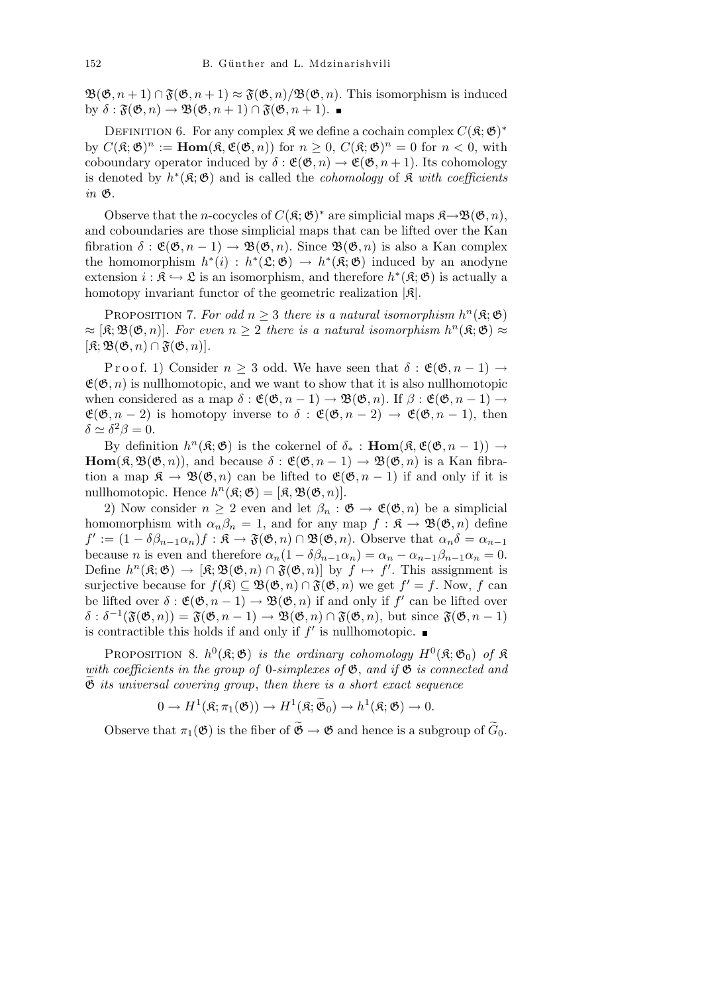$\mathfrak{B}(\mathfrak{G}, n+1) \cap \mathfrak{F}(\mathfrak{G}, n+1) \approx \mathfrak{F}(\mathfrak{G}, n)/\mathfrak{B}(\mathfrak{G}, n)$ . This isomorphism is induced by  $\delta : \mathfrak{F}(\mathfrak{G}, n) \to \mathfrak{B}(\mathfrak{G}, n+1) \cap \mathfrak{F}(\mathfrak{G}, n+1)$ .

DEFINITION 6. For any complex  $\mathfrak{K}$  we define a cochain complex  $C(\mathfrak{K}; \mathfrak{G})^*$ by  $C(\mathfrak{K}; \mathfrak{G})^n := \text{Hom}(\mathfrak{K}, \mathfrak{E}(\mathfrak{G}, n))$  for  $n \geq 0$ ,  $C(\mathfrak{K}; \mathfrak{G})^n = 0$  for  $n < 0$ , with coboundary operator induced by  $\delta : \mathfrak{E}(\mathfrak{G}, n) \to \mathfrak{E}(\mathfrak{G}, n+1)$ . Its cohomology is denoted by  $h^*(\mathfrak{K}; \mathfrak{G})$  and is called the *cohomology* of  $\mathfrak{K}$  *with coefficients in* G.

Observe that the *n*-cocycles of  $C(\mathfrak{K}; \mathfrak{G})^*$  are simplicial maps  $\mathfrak{K}\rightarrow \mathfrak{B}(\mathfrak{G}, n)$ , and coboundaries are those simplicial maps that can be lifted over the Kan fibration  $\delta : \mathfrak{E}(\mathfrak{G}, n-1) \to \mathfrak{B}(\mathfrak{G}, n)$ . Since  $\mathfrak{B}(\mathfrak{G}, n)$  is also a Kan complex the homomorphism  $h^*(i) : h^*(\mathfrak{L}; \mathfrak{G}) \to h^*(\mathfrak{K}; \mathfrak{G})$  induced by an anodyne extension  $i : \mathfrak{K} \hookrightarrow \mathfrak{L}$  is an isomorphism, and therefore  $h^*(\mathfrak{K}; \mathfrak{G})$  is actually a homotopy invariant functor of the geometric realization *|*K*|*.

PROPOSITION 7. For odd  $n \geq 3$  there is a natural isomorphism  $h^n(\mathfrak{K}; \mathfrak{G})$  $\approx$  [R;  $\mathfrak{B}(\mathfrak{G}, n)$ ]*. For even*  $n \geq 2$  *there is a natural isomorphism*  $h^n(\mathfrak{K}; \mathfrak{G}) \approx$  $[\mathfrak{K}; \mathfrak{B}(\mathfrak{G}, n) \cap \mathfrak{F}(\mathfrak{G}, n)].$ 

Proof. 1) Consider  $n \geq 3$  odd. We have seen that  $\delta : \mathfrak{E}(\mathfrak{G}, n-1) \rightarrow$  $\mathfrak{E}(\mathfrak{G}, n)$  is nullhomotopic, and we want to show that it is also nullhomotopic when considered as a map  $\delta : \mathfrak{E}(\mathfrak{G}, n-1) \to \mathfrak{B}(\mathfrak{G}, n)$ . If  $\beta : \mathfrak{E}(\mathfrak{G}, n-1) \to$  $\mathfrak{E}(\mathfrak{G}, n-2)$  is homotopy inverse to  $\delta : \mathfrak{E}(\mathfrak{G}, n-2) \to \mathfrak{E}(\mathfrak{G}, n-1)$ , then  $\delta \simeq \delta^2 \beta = 0.$ 

By definition  $h^n(\mathfrak{K}; \mathfrak{G})$  is the cokernel of  $\delta_* : \textbf{Hom}(\mathfrak{K}, \mathfrak{E}(\mathfrak{G}, n-1)) \to$ **Hom**( $\mathfrak{K}, \mathfrak{B}(\mathfrak{G}, n)$ ), and because  $\delta : \mathfrak{E}(\mathfrak{G}, n-1) \to \mathfrak{B}(\mathfrak{G}, n)$  is a Kan fibration a map  $\mathfrak{K} \to \mathfrak{B}(\mathfrak{G}, n)$  can be lifted to  $\mathfrak{E}(\mathfrak{G}, n-1)$  if and only if it is nullhomotopic. Hence  $h^n(\mathfrak{K}; \mathfrak{G}) = [\mathfrak{K}, \mathfrak{B}(\mathfrak{G}, n)].$ 

2) Now consider  $n \geq 2$  even and let  $\beta_n : \mathfrak{G} \to \mathfrak{E}(\mathfrak{G}, n)$  be a simplicial homomorphism with  $\alpha_n \beta_n = 1$ , and for any map  $f : \mathfrak{K} \to \mathfrak{B}(\mathfrak{G}, n)$  define  $f' := (1 - \delta \beta_{n-1} \alpha_n) f : \mathfrak{K} \to \mathfrak{F}(\mathfrak{G}, n) \cap \mathfrak{B}(\mathfrak{G}, n)$ . Observe that  $\alpha_n \delta = \alpha_{n-1}$ because *n* is even and therefore  $\alpha_n(1 - \delta\beta_{n-1}\alpha_n) = \alpha_n - \alpha_{n-1}\beta_{n-1}\alpha_n = 0.$ Define  $h^n(\mathfrak{K}; \mathfrak{G}) \to [\mathfrak{K}; \mathfrak{B}(\mathfrak{G}, n) \cap \mathfrak{F}(\mathfrak{G}, n)]$  by  $f \mapsto f'$ . This assignment is surjective because for  $f(\mathfrak{K}) \subseteq \mathfrak{B}(\mathfrak{G}, n) \cap \mathfrak{F}(\mathfrak{G}, n)$  we get  $f' = f$ . Now, f can be lifted over  $\delta : \mathfrak{E}(\mathfrak{G}, n-1) \to \mathfrak{B}(\mathfrak{G}, n)$  if and only if  $f'$  can be lifted over  $\delta : \delta^{-1}(\mathfrak{F}(\mathfrak{G}, n)) = \mathfrak{F}(\mathfrak{G}, n - 1) \to \mathfrak{B}(\mathfrak{G}, n) \cap \mathfrak{F}(\mathfrak{G}, n)$ , but since  $\mathfrak{F}(\mathfrak{G}, n - 1)$ is contractible this holds if and only if  $f'$  is nullhomotopic.

PROPOSITION 8.  $h^0(\mathfrak{K}; \mathfrak{G})$  *is the ordinary cohomology*  $H^0(\mathfrak{K}; \mathfrak{G}_0)$  of  $\mathfrak{K}$ *with coefficients in the group of* 0*-simplexes of* G, *and if* G *is connected and* Ge *its universal covering group*, *then there is a short exact sequence*

$$
0 \to H^1(\mathfrak{K}; \pi_1(\mathfrak{G})) \to H^1(\mathfrak{K}; \widetilde{\mathfrak{G}}_0) \to h^1(\mathfrak{K}; \mathfrak{G}) \to 0.
$$

Observe that  $\pi_1(\mathfrak{G})$  is the fiber of  $\widetilde{\mathfrak{G}} \to \mathfrak{G}$  and hence is a subgroup of  $\widetilde{G}_0$ .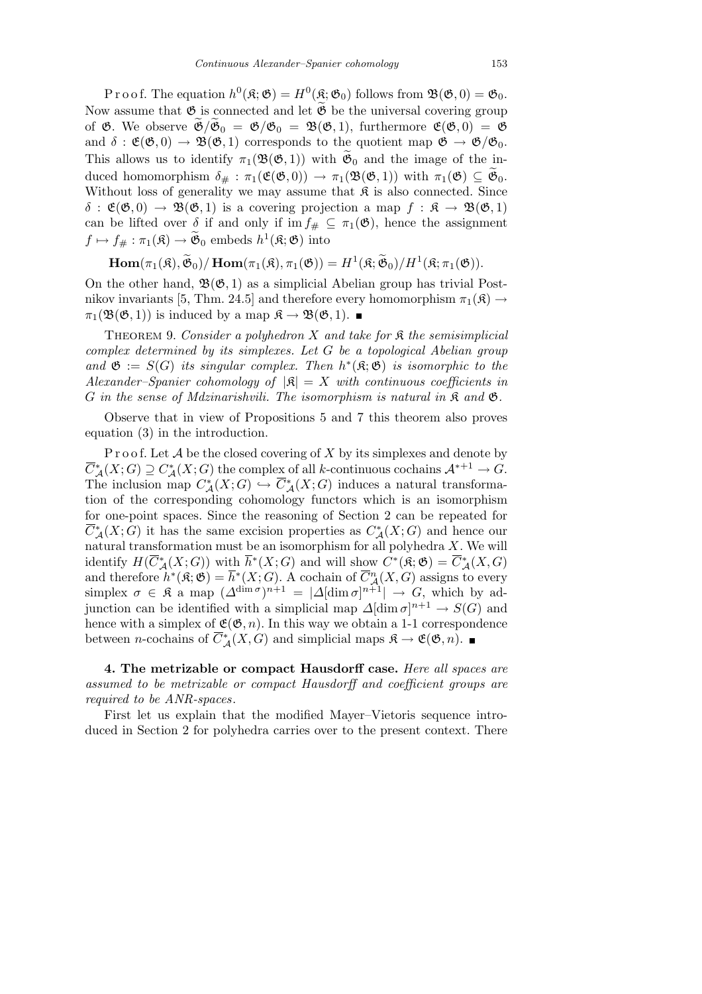P r o o f. The equation  $h^0(\mathfrak{K}; \mathfrak{G}) = H^0(\mathfrak{K}; \mathfrak{G}_0)$  follows from  $\mathfrak{B}(\mathfrak{G}, 0) = \mathfrak{G}_0$ . Now assume that  $\mathfrak G$  is connected and let  $\widetilde{\mathfrak G}$  be the universal covering group of  $\mathfrak{G}$ . We observe  $\mathfrak{G}/\mathfrak{G}_0 = \mathfrak{G}/\mathfrak{G}_0 = \mathfrak{B}(\mathfrak{G}, 1)$ , furthermore  $\mathfrak{E}(\mathfrak{G}, 0) = \mathfrak{G}$ and  $\delta : \mathfrak{E}(\mathfrak{G},0) \to \mathfrak{B}(\mathfrak{G},1)$  corresponds to the quotient map  $\mathfrak{G} \to \mathfrak{G}/\mathfrak{G}_0$ . This allows us to identify  $\pi_1(\mathfrak{B}(\mathfrak{G},1))$  with  $\mathfrak{G}_0$  and the image of the induced homomorphism  $\delta_{\#}: \pi_1(\mathfrak{E}(\mathfrak{G},0)) \to \pi_1(\mathfrak{B}(\mathfrak{G},1))$  with  $\pi_1(\mathfrak{G}) \subseteq \mathfrak{G}_0$ . Without loss of generality we may assume that  $\mathfrak K$  is also connected. Since  $\delta$  :  $\mathfrak{E}(\mathfrak{G},0) \to \mathfrak{B}(\mathfrak{G},1)$  is a covering projection a map  $f : \mathfrak{K} \to \mathfrak{B}(\mathfrak{G},1)$ can be lifted over  $\delta$  if and only if im  $f_{\#} \subseteq \pi_1(\mathfrak{G})$ , hence the assignment  $f \mapsto f_{\#} : \pi_1(\mathfrak{K}) \to \widetilde{\mathfrak{G}}_0$  embeds  $h^1(\mathfrak{K}; \mathfrak{G})$  into

 $\textbf{Hom}(\pi_1(\mathfrak{K}), \widetilde{\mathfrak{G}}_0)/\,\textbf{Hom}(\pi_1(\mathfrak{K}), \pi_1(\mathfrak{G})) = H^1(\mathfrak{K}; \widetilde{\mathfrak{G}}_0)/H^1(\mathfrak{K}; \pi_1(\mathfrak{G})).$ 

On the other hand,  $\mathfrak{B}(\mathfrak{G},1)$  as a simplicial Abelian group has trivial Postnikov invariants [5, Thm. 24.5] and therefore every homomorphism  $\pi_1(\mathfrak{K}) \rightarrow$  $\pi_1(\mathfrak{B}(\mathfrak{G},1))$  is induced by a map  $\mathfrak{K} \to \mathfrak{B}(\mathfrak{G},1)$ . ■

Theorem 9. *Consider a polyhedron X and take for* K *the semisimplicial complex determined by its simplexes. Let G be a topological Abelian group and*  $\mathfrak{G} := S(G)$  *its singular complex. Then*  $h^*(\mathfrak{K}; \mathfrak{G})$  *is isomorphic to the Alexander–Spanier cohomology of*  $|\mathfrak{K}| = X$  *with continuous coefficients in G in the sense of Mdzinarishvili. The isomorphism is natural in* K *and* G*.*

Observe that in view of Propositions 5 and 7 this theorem also proves equation (3) in the introduction.

P r o o f. Let A be the closed covering of X by its simplexes and denote by  $\overline{C}_{\mathcal{A}}^{*}(X;G) \supseteq C_{\mathcal{A}}^{*}(X;G)$  the complex of all *k*-continuous cochains  $\mathcal{A}^{*+1} \to G$ . The inclusion map  $C^*_{\mathcal{A}}(X;G) \hookrightarrow \overline{C}^*_{\mathcal{A}}(X;G)$  induces a natural transformation of the corresponding cohomology functors which is an isomorphism for one-point spaces. Since the reasoning of Section 2 can be repeated for  $\overline{C}_{\mathcal{A}}^{*}(X;G)$  it has the same excision properties as  $C_{\mathcal{A}}^{*}(X;G)$  and hence our natural transformation must be an isomorphism for all polyhedra *X*. We will identify  $H(\overline{C}_{\mathcal{A}}^{*}(X;G))$  with  $\overline{h}^{*}(X;G)$  and will show  $C^{*}(\mathfrak{K};\mathfrak{G}) = \overline{C}_{\mathcal{A}}^{*}(X,G)$ and therefore  $h^*(\mathfrak{K}; \mathfrak{G}) = \overline{h}^*(X; G)$ . A cochain of  $\overline{C}_{\mathcal{A}}^n(X, G)$  assigns to every simplex  $\sigma \in \mathfrak{K}$  a map  $(\Delta^{\dim \sigma})^{n+1} = |\Delta[\dim \sigma]^{n+1}| \to G$ , which by adjunction can be identified with a simplicial map  $\Delta[\dim \sigma]^{n+1} \to S(G)$  and hence with a simplex of  $\mathfrak{E}(\mathfrak{G}, n)$ . In this way we obtain a 1-1 correspondence between *n*-cochains of  $\overline{C}_{\mathcal{A}}^{*}(X, G)$  and simplicial maps  $\mathfrak{K} \to \mathfrak{E}(\mathfrak{G}, n)$ .

**4. The metrizable or compact Hausdorff case.** *Here all spaces are assumed to be metrizable or compact Hausdorff and coefficient groups are required to be ANR-spaces*.

First let us explain that the modified Mayer–Vietoris sequence introduced in Section 2 for polyhedra carries over to the present context. There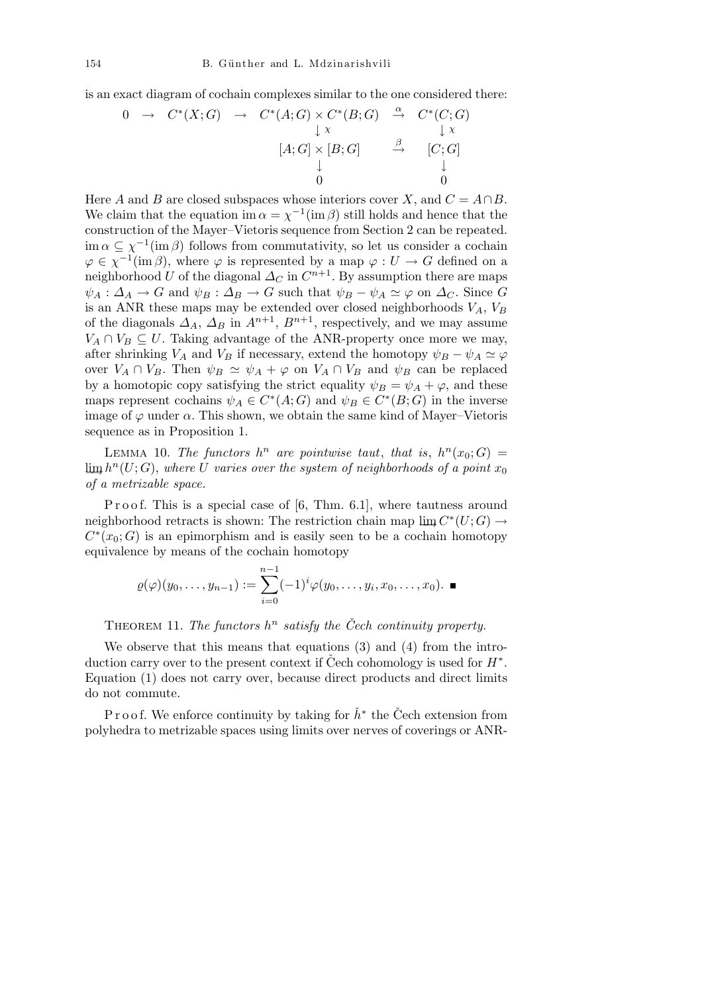is an exact diagram of cochain complexes similar to the one considered there:

$$
0 \rightarrow C^*(X;G) \rightarrow C^*(A;G) \times C^*(B;G) \stackrel{\alpha}{\rightarrow} C^*(C;G)
$$
  
\n
$$
\downarrow x
$$
  
\n
$$
[A;G] \times [B;G] \stackrel{\beta}{\rightarrow} [C;G]
$$
  
\n
$$
\downarrow 0
$$

Here *A* and *B* are closed subspaces whose interiors cover *X*, and  $C = A \cap B$ . We claim that the equation im  $\alpha = \chi^{-1}(\text{im }\beta)$  still holds and hence that the construction of the Mayer–Vietoris sequence from Section 2 can be repeated.  $\lim_{\alpha} \alpha \subseteq \chi^{-1}(\text{im }\beta)$  follows from commutativity, so let us consider a cochain  $\varphi \in \chi^{-1}(\text{im }\beta)$ , where  $\varphi$  is represented by a map  $\varphi: U \to G$  defined on a neighborhood *U* of the diagonal  $\Delta_C$  in  $C^{n+1}$ . By assumption there are maps  $\psi_A : \Delta_A \to G$  and  $\psi_B : \Delta_B \to G$  such that  $\psi_B - \psi_A \simeq \varphi$  on  $\Delta_C$ . Since *G* is an ANR these maps may be extended over closed neighborhoods  $V_A$ ,  $V_B$ of the diagonals  $\Delta_A$ ,  $\Delta_B$  in  $A^{n+1}$ ,  $B^{n+1}$ , respectively, and we may assume  $V_A \cap V_B \subseteq U$ . Taking advantage of the ANR-property once more we may, after shrinking *V<sub>A</sub>* and *V<sub>B</sub>* if necessary, extend the homotopy  $\psi_B - \psi_A \simeq \varphi$ over  $V_A \cap V_B$ . Then  $\psi_B \simeq \psi_A + \varphi$  on  $V_A \cap V_B$  and  $\psi_B$  can be replaced by a homotopic copy satisfying the strict equality  $\psi_B = \psi_A + \varphi$ , and these maps represent cochains  $\psi_A \in C^*(A; G)$  and  $\psi_B \in C^*(B; G)$  in the inverse image of  $\varphi$  under  $\alpha$ . This shown, we obtain the same kind of Mayer–Vietoris sequence as in Proposition 1.

LEMMA 10. *The functors*  $h^n$  are pointwise taut, that is,  $h^n(x_0; G) =$  $\lim h^n(U;G)$ , where *U* varies over the system of neighborhoods of a point  $x_0$ *of a metrizable space.*

P r o o f. This is a special case of  $[6, Thm. 6.1]$ , where tautness around  $\mathcal{L}^*(U;G) \to$  retracts is shown: The restriction chain map  $\lim C^*(U;G) \to$  $C^*(x_0; G)$  is an epimorphism and is easily seen to be a cochain homotopy equivalence by means of the cochain homotopy

$$
\varrho(\varphi)(y_0,\ldots,y_{n-1}):=\sum_{i=0}^{n-1}(-1)^i\varphi(y_0,\ldots,y_i,x_0,\ldots,x_0).
$$

THEOREM 11. *The functors*  $h^n$  *satisfy the Čech continuity property.* 

We observe that this means that equations (3) and (4) from the introduction carry over to the present context if Cech cohomology is used for  $H^*$ . Equation (1) does not carry over, because direct products and direct limits do not commute.

P r o o f. We enforce continuity by taking for  $\check{h}^*$  the Cech extension from polyhedra to metrizable spaces using limits over nerves of coverings or ANR-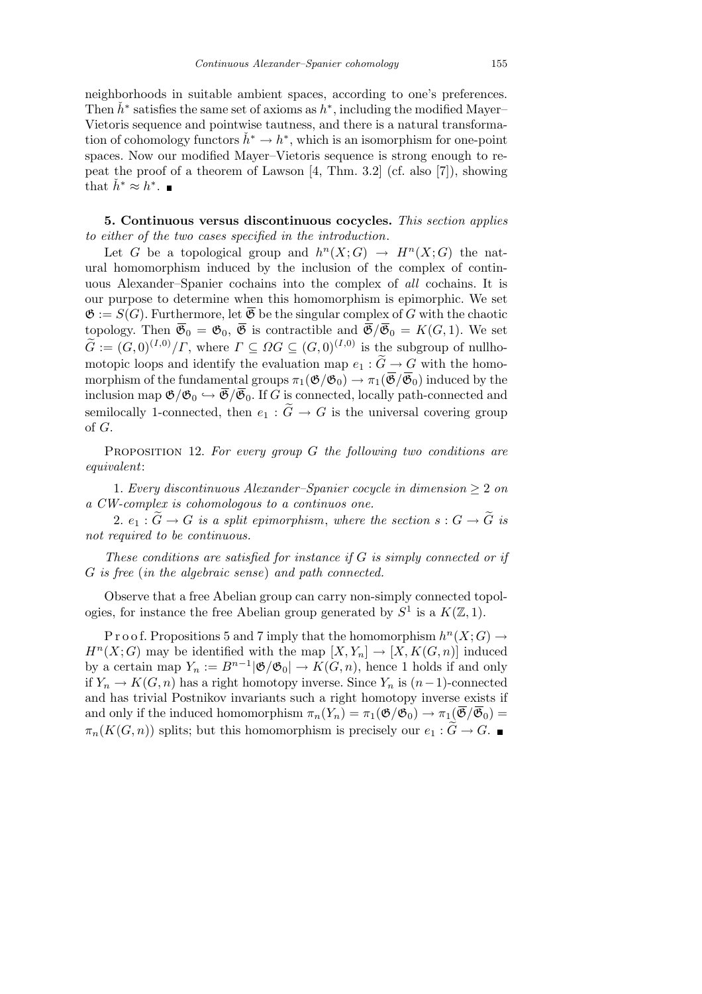neighborhoods in suitable ambient spaces, according to one's preferences. Then  $\check{h}^*$  satisfies the same set of axioms as  $\check{h}^*$ , including the modified Mayer– Vietoris sequence and pointwise tautness, and there is a natural transformation of cohomology functors  $\check{h}^* \to h^*$ , which is an isomorphism for one-point spaces. Now our modified Mayer–Vietoris sequence is strong enough to repeat the proof of a theorem of Lawson  $[4, Thm. 3.2]$  (cf. also  $[7]$ ), showing that  $\check{h}^* \approx \check{h}^*$ .

**5. Continuous versus discontinuous cocycles.** *This section applies to either of the two cases specified in the introduction*.

Let *G* be a topological group and  $h^{n}(X; G) \rightarrow H^{n}(X; G)$  the natural homomorphism induced by the inclusion of the complex of continuous Alexander–Spanier cochains into the complex of *all* cochains. It is our purpose to determine when this homomorphism is epimorphic. We set  $\mathfrak{G} := S(G)$ . Furthermore, let  $\mathfrak{G}$  be the singular complex of G with the chaotic topology. Then  $\overline{\mathfrak{G}}_0 = \mathfrak{G}_0$ ,  $\overline{\mathfrak{G}}$  is contractible and  $\overline{\mathfrak{G}}/\overline{\mathfrak{G}}_0 = K(G, 1)$ . We set  $\widetilde{G} := (G, 0)^{(I,0)}/\Gamma$ , where  $\Gamma \subseteq \Omega G \subseteq (G, 0)^{(I,0)}$  is the subgroup of nullhomotopic loops and identify the evaluation map  $e_1 : \widetilde{G} \to G$  with the homomorphism of the fundamental groups  $\pi_1(\mathfrak{G}/\mathfrak{G}_0) \to \pi_1(\overline{\mathfrak{G}}/\overline{\mathfrak{G}}_0)$  induced by the inclusion map  $\mathfrak{G}/\mathfrak{G}_0 \hookrightarrow \overline{\mathfrak{G}}/\overline{\mathfrak{G}}_0$ . If *G* is connected, locally path-connected and semilocally 1-connected, then  $e_1 : \widetilde{G} \to G$  is the universal covering group of *G*.

Proposition 12. *For every group G the following two conditions are equivalent*:

1. *Every discontinuous Alexander–Spanier cocycle in dimension*  $\geq 2$  *on a CW-complex is cohomologous to a continuos one.*

2.  $e_1: G \to G$  *is a split epimorphism, where the section*  $s: G \to \widetilde{G}$  *is not required to be continuous.*

*These conditions are satisfied for instance if G is simply connected or if G is free* (*in the algebraic sense*) *and path connected.*

Observe that a free Abelian group can carry non-simply connected topologies, for instance the free Abelian group generated by  $S^1$  is a  $K(\mathbb{Z}, 1)$ .

P r o o f. Propositions 5 and 7 imply that the homomorphism  $h^{n}(X;G) \rightarrow$  $H^{n}(X;G)$  may be identified with the map  $[X,Y_{n}] \to [X, K(G, n)]$  induced by a certain map  $Y_n := B^{n-1} |\mathfrak{G}/\mathfrak{G}_0| \to K(G, n)$ , hence 1 holds if and only if  $Y_n$  →  $K(G, n)$  has a right homotopy inverse. Since  $Y_n$  is  $(n-1)$ -connected and has trivial Postnikov invariants such a right homotopy inverse exists if and only if the induced homomorphism  $\pi_n(Y_n) = \pi_1(\mathfrak{G}/\mathfrak{G}_0) \to \pi_1(\overline{\mathfrak{G}}/\overline{\mathfrak{G}}_0) =$  $\pi_n(K(G, n))$  splits; but this homomorphism is precisely our  $e_1 : \widetilde{G} \to G$ .